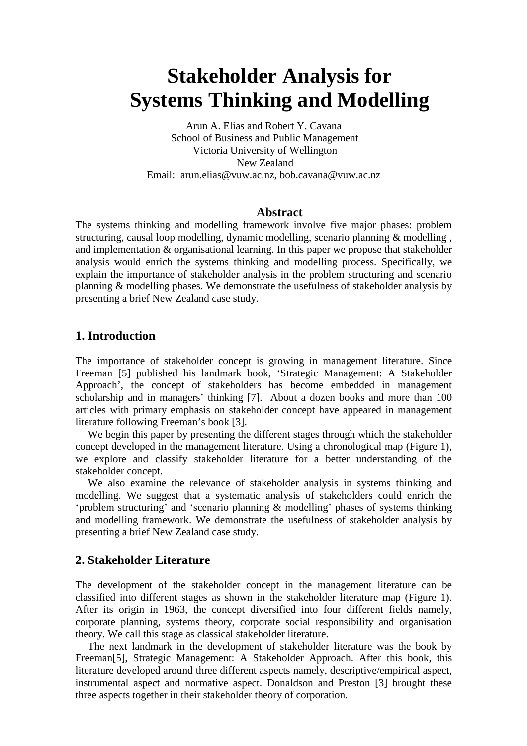# **Stakeholder Analysis for Systems Thinking and Modelling**

Arun A. Elias and Robert Y. Cavana School of Business and Public Management Victoria University of Wellington New Zealand Email: arun.elias@vuw.ac.nz, bob.cavana@vuw.ac.nz

#### **Abstract**

The systems thinking and modelling framework involve five major phases: problem structuring, causal loop modelling, dynamic modelling, scenario planning & modelling , and implementation & organisational learning. In this paper we propose that stakeholder analysis would enrich the systems thinking and modelling process. Specifically, we explain the importance of stakeholder analysis in the problem structuring and scenario planning & modelling phases. We demonstrate the usefulness of stakeholder analysis by presenting a brief New Zealand case study.

## **1. Introduction**

The importance of stakeholder concept is growing in management literature. Since Freeman [5] published his landmark book, 'Strategic Management: A Stakeholder Approach', the concept of stakeholders has become embedded in management scholarship and in managers' thinking [7]. About a dozen books and more than 100 articles with primary emphasis on stakeholder concept have appeared in management literature following Freeman's book [3].

We begin this paper by presenting the different stages through which the stakeholder concept developed in the management literature. Using a chronological map (Figure 1), we explore and classify stakeholder literature for a better understanding of the stakeholder concept.

We also examine the relevance of stakeholder analysis in systems thinking and modelling. We suggest that a systematic analysis of stakeholders could enrich the 'problem structuring' and 'scenario planning & modelling' phases of systems thinking and modelling framework. We demonstrate the usefulness of stakeholder analysis by presenting a brief New Zealand case study.

#### **2. Stakeholder Literature**

The development of the stakeholder concept in the management literature can be classified into different stages as shown in the stakeholder literature map (Figure 1). After its origin in 1963, the concept diversified into four different fields namely, corporate planning, systems theory, corporate social responsibility and organisation theory. We call this stage as classical stakeholder literature.

The next landmark in the development of stakeholder literature was the book by Freeman[5], Strategic Management: A Stakeholder Approach. After this book, this literature developed around three different aspects namely, descriptive/empirical aspect, instrumental aspect and normative aspect. Donaldson and Preston [3] brought these three aspects together in their stakeholder theory of corporation.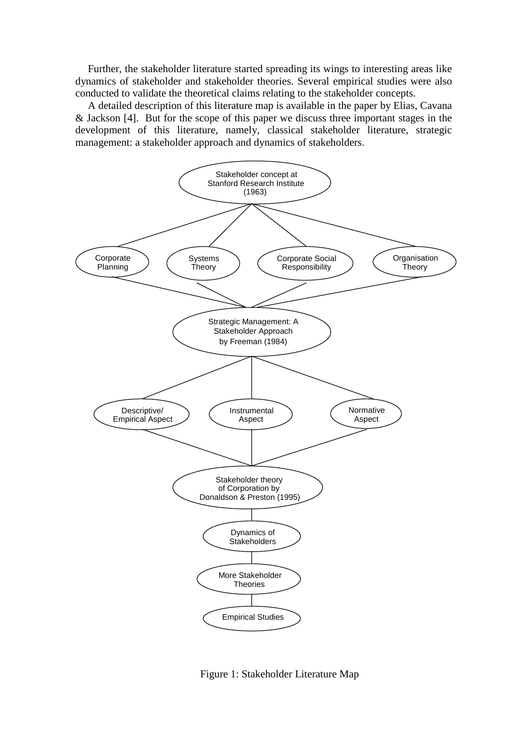Further, the stakeholder literature started spreading its wings to interesting areas like dynamics of stakeholder and stakeholder theories. Several empirical studies were also conducted to validate the theoretical claims relating to the stakeholder concepts.

A detailed description of this literature map is available in the paper by Elias, Cavana & Jackson [4]. But for the scope of this paper we discuss three important stages in the development of this literature, namely, classical stakeholder literature, strategic management: a stakeholder approach and dynamics of stakeholders.



Figure 1: Stakeholder Literature Map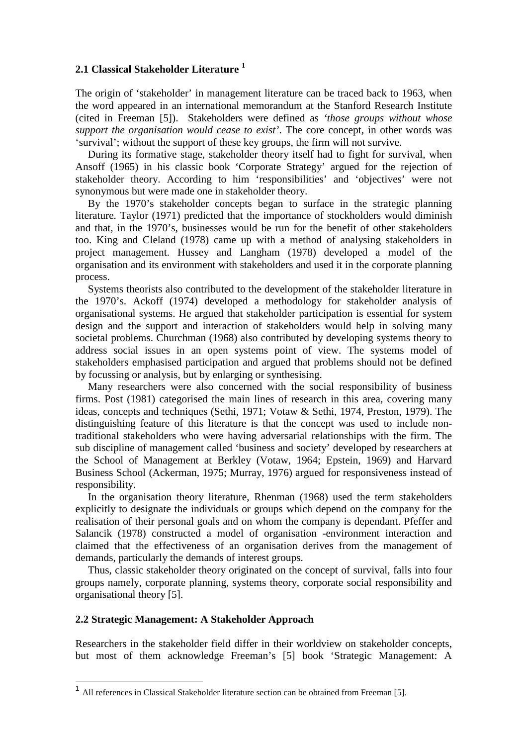## **2.1 Classical Stakeholder Literature 1**

The origin of 'stakeholder' in management literature can be traced back to 1963, when the word appeared in an international memorandum at the Stanford Research Institute (cited in Freeman [5]). Stakeholders were defined as *'those groups without whose support the organisation would cease to exist'*. The core concept, in other words was 'survival'; without the support of these key groups, the firm will not survive.

During its formative stage, stakeholder theory itself had to fight for survival, when Ansoff (1965) in his classic book 'Corporate Strategy' argued for the rejection of stakeholder theory. According to him 'responsibilities' and 'objectives' were not synonymous but were made one in stakeholder theory.

By the 1970's stakeholder concepts began to surface in the strategic planning literature. Taylor (1971) predicted that the importance of stockholders would diminish and that, in the 1970's, businesses would be run for the benefit of other stakeholders too. King and Cleland (1978) came up with a method of analysing stakeholders in project management. Hussey and Langham (1978) developed a model of the organisation and its environment with stakeholders and used it in the corporate planning process.

Systems theorists also contributed to the development of the stakeholder literature in the 1970's. Ackoff (1974) developed a methodology for stakeholder analysis of organisational systems. He argued that stakeholder participation is essential for system design and the support and interaction of stakeholders would help in solving many societal problems. Churchman (1968) also contributed by developing systems theory to address social issues in an open systems point of view. The systems model of stakeholders emphasised participation and argued that problems should not be defined by focussing or analysis, but by enlarging or synthesising.

Many researchers were also concerned with the social responsibility of business firms. Post (1981) categorised the main lines of research in this area, covering many ideas, concepts and techniques (Sethi, 1971; Votaw & Sethi, 1974, Preston, 1979). The distinguishing feature of this literature is that the concept was used to include nontraditional stakeholders who were having adversarial relationships with the firm. The sub discipline of management called 'business and society' developed by researchers at the School of Management at Berkley (Votaw, 1964; Epstein, 1969) and Harvard Business School (Ackerman, 1975; Murray, 1976) argued for responsiveness instead of responsibility.

In the organisation theory literature, Rhenman (1968) used the term stakeholders explicitly to designate the individuals or groups which depend on the company for the realisation of their personal goals and on whom the company is dependant. Pfeffer and Salancik (1978) constructed a model of organisation -environment interaction and claimed that the effectiveness of an organisation derives from the management of demands, particularly the demands of interest groups.

Thus, classic stakeholder theory originated on the concept of survival, falls into four groups namely, corporate planning, systems theory, corporate social responsibility and organisational theory [5].

#### **2.2 Strategic Management: A Stakeholder Approach**

l

Researchers in the stakeholder field differ in their worldview on stakeholder concepts, but most of them acknowledge Freeman's [5] book 'Strategic Management: A

<sup>&</sup>lt;sup>1</sup> All references in Classical Stakeholder literature section can be obtained from Freeman [5].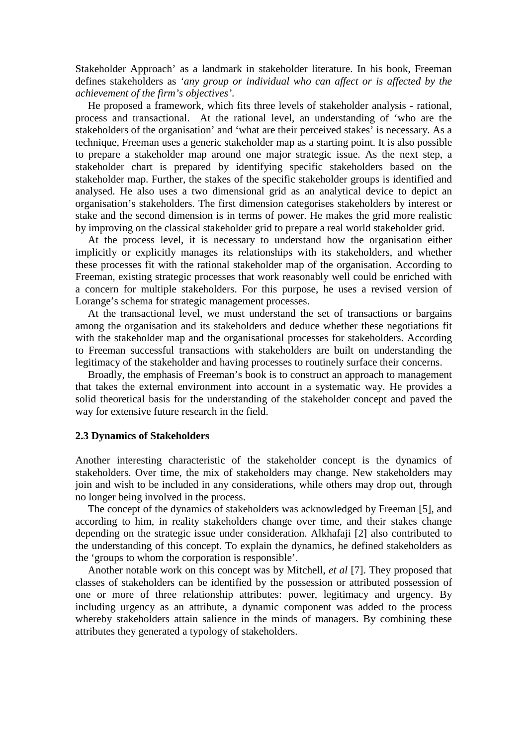Stakeholder Approach' as a landmark in stakeholder literature. In his book, Freeman defines stakeholders as *'any group or individual who can affect or is affected by the achievement of the firm's objectives'*.

He proposed a framework, which fits three levels of stakeholder analysis - rational, process and transactional. At the rational level, an understanding of 'who are the stakeholders of the organisation' and 'what are their perceived stakes' is necessary. As a technique, Freeman uses a generic stakeholder map as a starting point. It is also possible to prepare a stakeholder map around one major strategic issue. As the next step, a stakeholder chart is prepared by identifying specific stakeholders based on the stakeholder map. Further, the stakes of the specific stakeholder groups is identified and analysed. He also uses a two dimensional grid as an analytical device to depict an organisation's stakeholders. The first dimension categorises stakeholders by interest or stake and the second dimension is in terms of power. He makes the grid more realistic by improving on the classical stakeholder grid to prepare a real world stakeholder grid.

At the process level, it is necessary to understand how the organisation either implicitly or explicitly manages its relationships with its stakeholders, and whether these processes fit with the rational stakeholder map of the organisation. According to Freeman, existing strategic processes that work reasonably well could be enriched with a concern for multiple stakeholders. For this purpose, he uses a revised version of Lorange's schema for strategic management processes.

At the transactional level, we must understand the set of transactions or bargains among the organisation and its stakeholders and deduce whether these negotiations fit with the stakeholder map and the organisational processes for stakeholders. According to Freeman successful transactions with stakeholders are built on understanding the legitimacy of the stakeholder and having processes to routinely surface their concerns.

Broadly, the emphasis of Freeman's book is to construct an approach to management that takes the external environment into account in a systematic way. He provides a solid theoretical basis for the understanding of the stakeholder concept and paved the way for extensive future research in the field.

#### **2.3 Dynamics of Stakeholders**

Another interesting characteristic of the stakeholder concept is the dynamics of stakeholders. Over time, the mix of stakeholders may change. New stakeholders may join and wish to be included in any considerations, while others may drop out, through no longer being involved in the process.

The concept of the dynamics of stakeholders was acknowledged by Freeman [5], and according to him, in reality stakeholders change over time, and their stakes change depending on the strategic issue under consideration. Alkhafaji [2] also contributed to the understanding of this concept. To explain the dynamics, he defined stakeholders as the 'groups to whom the corporation is responsible'.

Another notable work on this concept was by Mitchell, *et al* [7]. They proposed that classes of stakeholders can be identified by the possession or attributed possession of one or more of three relationship attributes: power, legitimacy and urgency. By including urgency as an attribute, a dynamic component was added to the process whereby stakeholders attain salience in the minds of managers. By combining these attributes they generated a typology of stakeholders.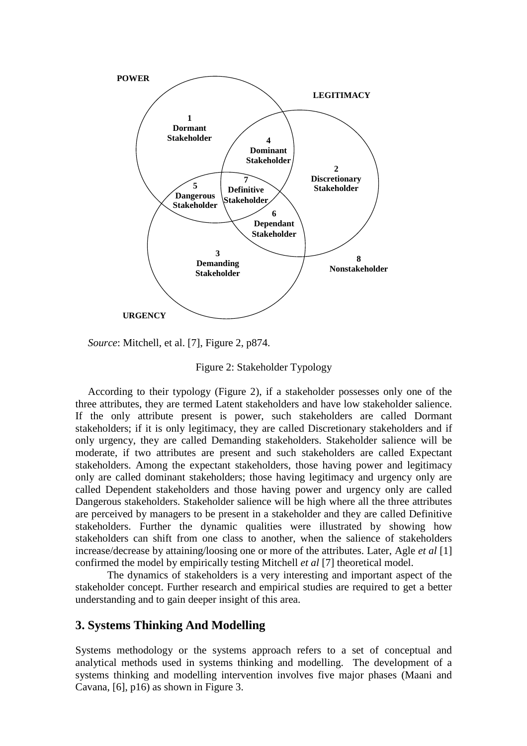

*Source*: Mitchell, et al. [7], Figure 2, p874.

Figure 2: Stakeholder Typology

According to their typology (Figure 2), if a stakeholder possesses only one of the three attributes, they are termed Latent stakeholders and have low stakeholder salience. If the only attribute present is power, such stakeholders are called Dormant stakeholders; if it is only legitimacy, they are called Discretionary stakeholders and if only urgency, they are called Demanding stakeholders. Stakeholder salience will be moderate, if two attributes are present and such stakeholders are called Expectant stakeholders. Among the expectant stakeholders, those having power and legitimacy only are called dominant stakeholders; those having legitimacy and urgency only are called Dependent stakeholders and those having power and urgency only are called Dangerous stakeholders. Stakeholder salience will be high where all the three attributes are perceived by managers to be present in a stakeholder and they are called Definitive stakeholders. Further the dynamic qualities were illustrated by showing how stakeholders can shift from one class to another, when the salience of stakeholders increase/decrease by attaining/loosing one or more of the attributes. Later, Agle *et al* [1] confirmed the model by empirically testing Mitchell *et al* [7] theoretical model.

The dynamics of stakeholders is a very interesting and important aspect of the stakeholder concept. Further research and empirical studies are required to get a better understanding and to gain deeper insight of this area.

## **3. Systems Thinking And Modelling**

Systems methodology or the systems approach refers to a set of conceptual and analytical methods used in systems thinking and modelling. The development of a systems thinking and modelling intervention involves five major phases (Maani and Cavana, [6], p16) as shown in Figure 3.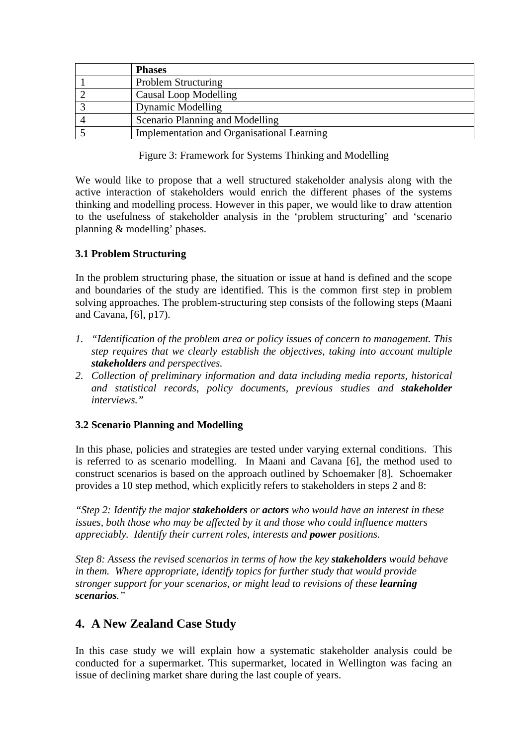| <b>Phases</b>                              |
|--------------------------------------------|
| <b>Problem Structuring</b>                 |
| Causal Loop Modelling                      |
| <b>Dynamic Modelling</b>                   |
| Scenario Planning and Modelling            |
| Implementation and Organisational Learning |

Figure 3: Framework for Systems Thinking and Modelling

We would like to propose that a well structured stakeholder analysis along with the active interaction of stakeholders would enrich the different phases of the systems thinking and modelling process. However in this paper, we would like to draw attention to the usefulness of stakeholder analysis in the 'problem structuring' and 'scenario planning & modelling' phases.

# **3.1 Problem Structuring**

In the problem structuring phase, the situation or issue at hand is defined and the scope and boundaries of the study are identified. This is the common first step in problem solving approaches. The problem-structuring step consists of the following steps (Maani and Cavana, [6], p17).

- *1. "Identification of the problem area or policy issues of concern to management. This step requires that we clearly establish the objectives, taking into account multiple stakeholders and perspectives.*
- *2. Collection of preliminary information and data including media reports, historical and statistical records, policy documents, previous studies and stakeholder interviews."*

# **3.2 Scenario Planning and Modelling**

In this phase, policies and strategies are tested under varying external conditions. This is referred to as scenario modelling. In Maani and Cavana [6], the method used to construct scenarios is based on the approach outlined by Schoemaker [8]. Schoemaker provides a 10 step method, which explicitly refers to stakeholders in steps 2 and 8:

*"Step 2: Identify the major stakeholders or actors who would have an interest in these issues, both those who may be affected by it and those who could influence matters appreciably. Identify their current roles, interests and power positions.*

*Step 8: Assess the revised scenarios in terms of how the key stakeholders would behave in them. Where appropriate, identify topics for further study that would provide stronger support for your scenarios, or might lead to revisions of these learning scenarios."*

# **4. A New Zealand Case Study**

In this case study we will explain how a systematic stakeholder analysis could be conducted for a supermarket. This supermarket, located in Wellington was facing an issue of declining market share during the last couple of years.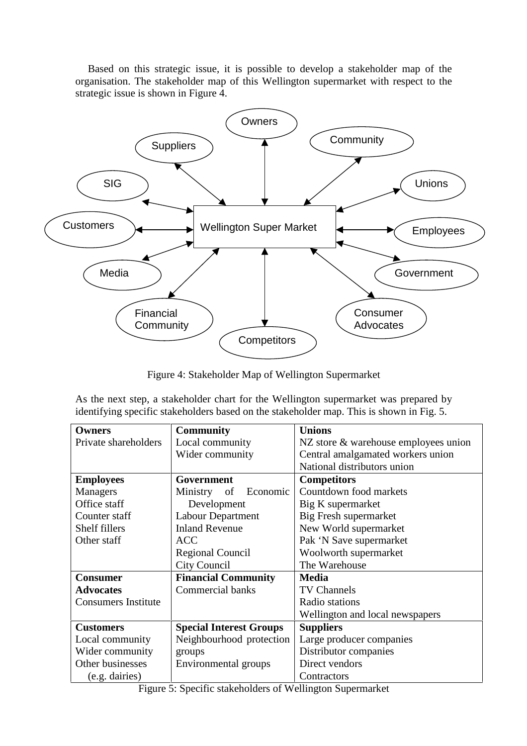Based on this strategic issue, it is possible to develop a stakeholder map of the organisation. The stakeholder map of this Wellington supermarket with respect to the strategic issue is shown in Figure 4.



Figure 4: Stakeholder Map of Wellington Supermarket

As the next step, a stakeholder chart for the Wellington supermarket was prepared by identifying specific stakeholders based on the stakeholder map. This is shown in Fig. 5.

| Owners                     | <b>Community</b>               | <b>Unions</b>                        |  |
|----------------------------|--------------------------------|--------------------------------------|--|
| Private shareholders       | Local community                | NZ store & warehouse employees union |  |
|                            | Wider community                | Central amalgamated workers union    |  |
|                            |                                | National distributors union          |  |
| <b>Employees</b>           | Government                     | <b>Competitors</b>                   |  |
| Managers                   | Ministry<br>of<br>Economic     | Countdown food markets               |  |
| Office staff               | Development                    | Big K supermarket                    |  |
| Counter staff              | <b>Labour Department</b>       | Big Fresh supermarket                |  |
| Shelf fillers              | <b>Inland Revenue</b>          | New World supermarket                |  |
| Other staff                | <b>ACC</b>                     | Pak 'N Save supermarket              |  |
|                            | <b>Regional Council</b>        | Woolworth supermarket                |  |
|                            | City Council                   | The Warehouse                        |  |
| <b>Consumer</b>            | <b>Financial Community</b>     | <b>Media</b>                         |  |
| <b>Advocates</b>           | <b>Commercial banks</b>        | <b>TV Channels</b>                   |  |
| <b>Consumers Institute</b> |                                | Radio stations                       |  |
|                            |                                | Wellington and local newspapers      |  |
| <b>Customers</b>           | <b>Special Interest Groups</b> | <b>Suppliers</b>                     |  |
| Local community            | Neighbourhood protection       | Large producer companies             |  |
| Wider community            | groups                         | Distributor companies                |  |
| Other businesses           | Environmental groups           | Direct vendors                       |  |
| (e.g. dairies)             |                                | Contractors                          |  |

Figure 5: Specific stakeholders of Wellington Supermarket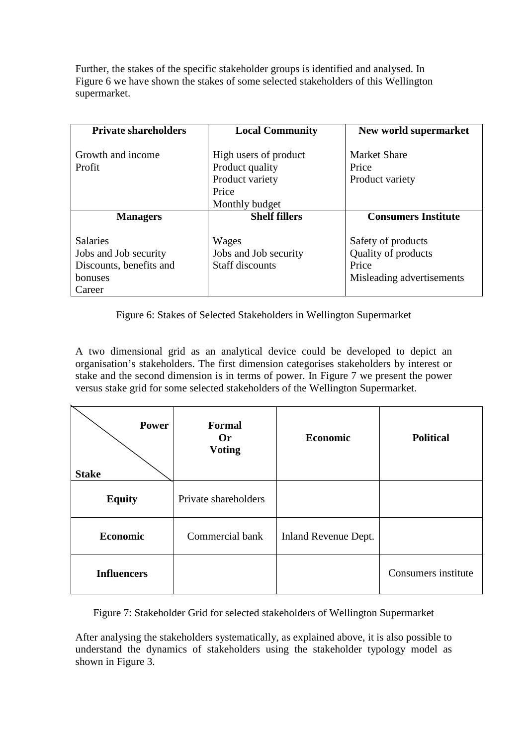Further, the stakes of the specific stakeholder groups is identified and analysed. In Figure 6 we have shown the stakes of some selected stakeholders of this Wellington supermarket.

| <b>Private shareholders</b>                                                              | <b>Local Community</b>                                                                 | New world supermarket                                                           |
|------------------------------------------------------------------------------------------|----------------------------------------------------------------------------------------|---------------------------------------------------------------------------------|
| Growth and income<br>Profit                                                              | High users of product<br>Product quality<br>Product variety<br>Price<br>Monthly budget | <b>Market Share</b><br>Price<br>Product variety                                 |
| <b>Managers</b>                                                                          | <b>Shelf fillers</b>                                                                   | <b>Consumers Institute</b>                                                      |
| <b>Salaries</b><br>Jobs and Job security<br>Discounts, benefits and<br>bonuses<br>Career | Wages<br>Jobs and Job security<br>Staff discounts                                      | Safety of products<br>Quality of products<br>Price<br>Misleading advertisements |

Figure 6: Stakes of Selected Stakeholders in Wellington Supermarket

A two dimensional grid as an analytical device could be developed to depict an organisation's stakeholders. The first dimension categorises stakeholders by interest or stake and the second dimension is in terms of power. In Figure 7 we present the power versus stake grid for some selected stakeholders of the Wellington Supermarket.

| <b>Power</b><br><b>Stake</b> | Formal<br><b>Or</b><br><b>Voting</b> | <b>Economic</b>      | <b>Political</b>    |
|------------------------------|--------------------------------------|----------------------|---------------------|
| <b>Equity</b>                | Private shareholders                 |                      |                     |
| <b>Economic</b>              | Commercial bank                      | Inland Revenue Dept. |                     |
| <b>Influencers</b>           |                                      |                      | Consumers institute |

Figure 7: Stakeholder Grid for selected stakeholders of Wellington Supermarket

After analysing the stakeholders systematically, as explained above, it is also possible to understand the dynamics of stakeholders using the stakeholder typology model as shown in Figure 3.